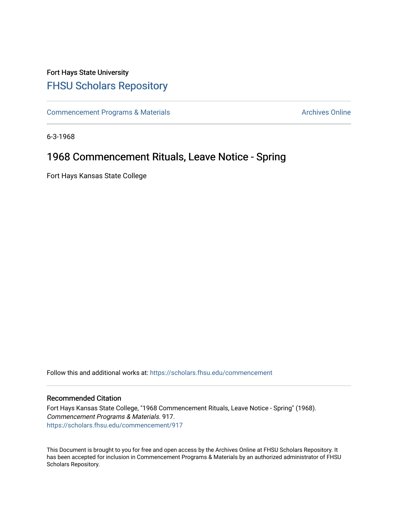## Fort Hays State University [FHSU Scholars Repository](https://scholars.fhsu.edu/)

[Commencement Programs & Materials](https://scholars.fhsu.edu/commencement) **Archives Online** Archives Online

6-3-1968

## 1968 Commencement Rituals, Leave Notice - Spring

Fort Hays Kansas State College

Follow this and additional works at: [https://scholars.fhsu.edu/commencement](https://scholars.fhsu.edu/commencement?utm_source=scholars.fhsu.edu%2Fcommencement%2F917&utm_medium=PDF&utm_campaign=PDFCoverPages)

## Recommended Citation

Fort Hays Kansas State College, "1968 Commencement Rituals, Leave Notice - Spring" (1968). Commencement Programs & Materials. 917. [https://scholars.fhsu.edu/commencement/917](https://scholars.fhsu.edu/commencement/917?utm_source=scholars.fhsu.edu%2Fcommencement%2F917&utm_medium=PDF&utm_campaign=PDFCoverPages)

This Document is brought to you for free and open access by the Archives Online at FHSU Scholars Repository. It has been accepted for inclusion in Commencement Programs & Materials by an authorized administrator of FHSU Scholars Repository.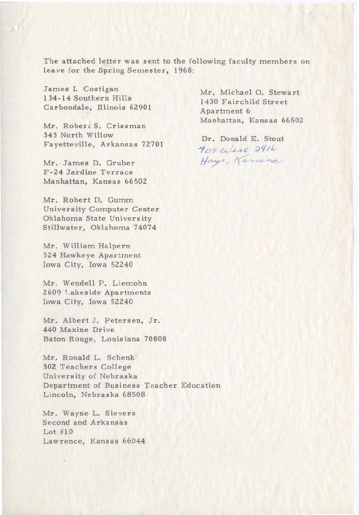The attached letter was sent to the following faculty members on leave for the Spring Semester, 1968:

James I. Costigan 1 34-14 Southern Hills Carbondale, Illinois 62901

 $\mathcal{L}(\mathcal{S})$ 

Mr. Robert S. Crissman 343 North Willow Fayetteville, Arkansas 72701

Mr. James D. Gruber F-24 Jardine Terrace Manhattan, Kansas 66502

Mr. Robert D. Gumm University Computer Center Oklahoma State University Stillwater, Oklahoma 74074

Mr. William Halpern 524 Hawkeye Apartment Iowa City, Iowa 52240

Mr. Wendell P. Liemohn 2609 Lakeside Apartments Iowa City, Iowa 52240

Mr. Albert J. Petersen, Jr. 440 Maxine Drive Baton Rouge, Louisiana 70808

Mr. Ronald L. Schenk **302** Teachers College University of Nebraska Department of Business Teacher Education Lincoln, Nebraska 68508

Mr. Wayne L. Sievers Second and Arkansas Lot #10 Lawrence, Kansas 66044 Mr, Michael 0. Stewart 1430 Fairchild Street Apartment 6 Manhattan, Kansas 66502

Dr. Donald E. Stout <sup>~</sup>c? c.~ :'..: . *.i t* :; '/ / *L* .-' *J/c.-•/* 1 I **/1** ,::,-..\_Le> **-t,,\_,** \_,